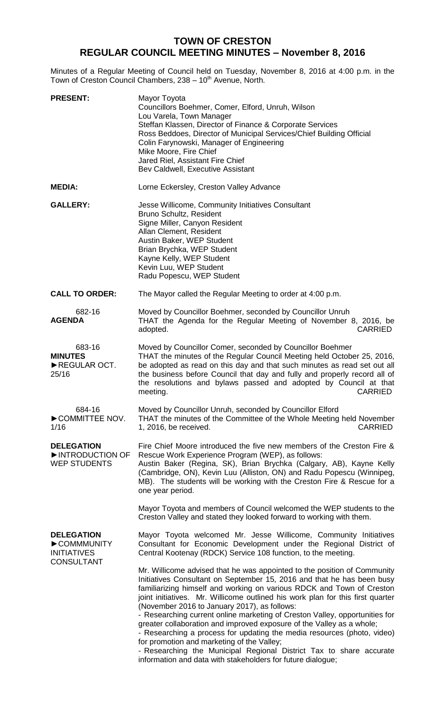# **TOWN OF CRESTON REGULAR COUNCIL MEETING MINUTES – November 8, 2016**

Minutes of a Regular Meeting of Council held on Tuesday, November 8, 2016 at 4:00 p.m. in the Town of Creston Council Chambers, 238 - 10<sup>th</sup> Avenue, North.

| <b>PRESENT:</b>                                                            | Mayor Toyota<br>Councillors Boehmer, Comer, Elford, Unruh, Wilson<br>Lou Varela, Town Manager<br>Steffan Klassen, Director of Finance & Corporate Services<br>Ross Beddoes, Director of Municipal Services/Chief Building Official<br>Colin Farynowski, Manager of Engineering<br>Mike Moore, Fire Chief<br>Jared Riel, Assistant Fire Chief<br>Bev Caldwell, Executive Assistant                                                                                                                                                                                                                                                                                                                                                                                                    |
|----------------------------------------------------------------------------|--------------------------------------------------------------------------------------------------------------------------------------------------------------------------------------------------------------------------------------------------------------------------------------------------------------------------------------------------------------------------------------------------------------------------------------------------------------------------------------------------------------------------------------------------------------------------------------------------------------------------------------------------------------------------------------------------------------------------------------------------------------------------------------|
| <b>MEDIA:</b>                                                              | Lorne Eckersley, Creston Valley Advance                                                                                                                                                                                                                                                                                                                                                                                                                                                                                                                                                                                                                                                                                                                                              |
| <b>GALLERY:</b>                                                            | Jesse Willicome, Community Initiatives Consultant<br>Bruno Schultz, Resident<br>Signe Miller, Canyon Resident<br>Allan Clement, Resident<br>Austin Baker, WEP Student<br>Brian Brychka, WEP Student<br>Kayne Kelly, WEP Student<br>Kevin Luu, WEP Student<br>Radu Popescu, WEP Student                                                                                                                                                                                                                                                                                                                                                                                                                                                                                               |
| <b>CALL TO ORDER:</b>                                                      | The Mayor called the Regular Meeting to order at 4:00 p.m.                                                                                                                                                                                                                                                                                                                                                                                                                                                                                                                                                                                                                                                                                                                           |
| 682-16<br><b>AGENDA</b>                                                    | Moved by Councillor Boehmer, seconded by Councillor Unruh<br>THAT the Agenda for the Regular Meeting of November 8, 2016, be<br><b>CARRIED</b><br>adopted.                                                                                                                                                                                                                                                                                                                                                                                                                                                                                                                                                                                                                           |
| 683-16<br><b>MINUTES</b><br>REGULAR OCT.<br>25/16                          | Moved by Councillor Comer, seconded by Councillor Boehmer<br>THAT the minutes of the Regular Council Meeting held October 25, 2016,<br>be adopted as read on this day and that such minutes as read set out all<br>the business before Council that day and fully and properly record all of<br>the resolutions and bylaws passed and adopted by Council at that<br><b>CARRIED</b><br>meeting.                                                                                                                                                                                                                                                                                                                                                                                       |
| 684-16<br>COMMITTEE NOV.<br>1/16                                           | Moved by Councillor Unruh, seconded by Councillor Elford<br>THAT the minutes of the Committee of the Whole Meeting held November<br><b>CARRIED</b><br>1, 2016, be received.                                                                                                                                                                                                                                                                                                                                                                                                                                                                                                                                                                                                          |
| <b>DELEGATION</b><br>INTRODUCTION OF<br><b>WEP STUDENTS</b>                | Fire Chief Moore introduced the five new members of the Creston Fire &<br>Rescue Work Experience Program (WEP), as follows:<br>Austin Baker (Regina, SK), Brian Brychka (Calgary, AB), Kayne Kelly<br>(Cambridge, ON), Kevin Luu (Alliston, ON) and Radu Popescu (Winnipeg,<br>MB). The students will be working with the Creston Fire & Rescue for a<br>one year period.                                                                                                                                                                                                                                                                                                                                                                                                            |
|                                                                            | Mayor Toyota and members of Council welcomed the WEP students to the<br>Creston Valley and stated they looked forward to working with them.                                                                                                                                                                                                                                                                                                                                                                                                                                                                                                                                                                                                                                          |
| <b>DELEGATION</b><br>COMMMUNITY<br><b>INITIATIVES</b><br><b>CONSULTANT</b> | Mayor Toyota welcomed Mr. Jesse Willicome, Community Initiatives<br>Consultant for Economic Development under the Regional District of<br>Central Kootenay (RDCK) Service 108 function, to the meeting.                                                                                                                                                                                                                                                                                                                                                                                                                                                                                                                                                                              |
|                                                                            | Mr. Willicome advised that he was appointed to the position of Community<br>Initiatives Consultant on September 15, 2016 and that he has been busy<br>familiarizing himself and working on various RDCK and Town of Creston<br>joint initiatives. Mr. Willicome outlined his work plan for this first quarter<br>(November 2016 to January 2017), as follows:<br>- Researching current online marketing of Creston Valley, opportunities for<br>greater collaboration and improved exposure of the Valley as a whole;<br>- Researching a process for updating the media resources (photo, video)<br>for promotion and marketing of the Valley;<br>- Researching the Municipal Regional District Tax to share accurate<br>information and data with stakeholders for future dialogue; |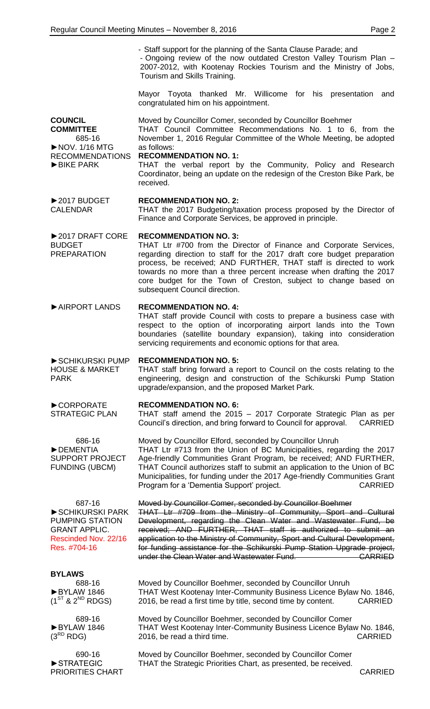- Staff support for the planning of the Santa Clause Parade; and - Ongoing review of the now outdated Creston Valley Tourism Plan – 2007-2012, with Kootenay Rockies Tourism and the Ministry of Jobs, Tourism and Skills Training.

Mayor Toyota thanked Mr. Willicome for his presentation and congratulated him on his appointment.

**COUNCIL COMMITTEE** 685-16 ►NOV. 1/16 MTG RECOMMENDATIONS ►BIKE PARK Moved by Councillor Comer, seconded by Councillor Boehmer THAT Council Committee Recommendations No. 1 to 6, from the November 1, 2016 Regular Committee of the Whole Meeting, be adopted as follows: **RECOMMENDATION NO. 1:** THAT the verbal report by the Community, Policy and Research Coordinator, being an update on the redesign of the Creston Bike Park, be received.

#### ►2017 BUDGET CALENDAR **RECOMMENDATION NO. 2:** THAT the 2017 Budgeting/taxation process proposed by the Director of Finance and Corporate Services, be approved in principle.

#### ►2017 DRAFT CORE **RECOMMENDATION NO. 3:**

BUDGET PREPARATION THAT Ltr #700 from the Director of Finance and Corporate Services, regarding direction to staff for the 2017 draft core budget preparation process, be received; AND FURTHER, THAT staff is directed to work towards no more than a three percent increase when drafting the 2017 core budget for the Town of Creston, subject to change based on subsequent Council direction.

## ►AIRPORT LANDS **RECOMMENDATION NO. 4:**

THAT staff provide Council with costs to prepare a business case with respect to the option of incorporating airport lands into the Town boundaries (satellite boundary expansion), taking into consideration servicing requirements and economic options for that area.

#### **RECOMMENDATION NO. 5:**

THAT staff bring forward a report to Council on the costs relating to the engineering, design and construction of the Schikurski Pump Station upgrade/expansion, and the proposed Market Park.

#### **RECOMMENDATION NO. 6:**

THAT staff amend the 2015 – 2017 Corporate Strategic Plan as per Council's direction, and bring forward to Council for approval. CARRIED

686-16 ►DEMENTIA SUPPORT PROJECT FUNDING (UBCM)

►CORPORATE STRATEGIC PLAN

►SCHIKURSKI PUMP HOUSE & MARKET

PARK

Moved by Councillor Elford, seconded by Councillor Unruh THAT Ltr #713 from the Union of BC Municipalities, regarding the 2017 Age-friendly Communities Grant Program, be received; AND FURTHER, THAT Council authorizes staff to submit an application to the Union of BC Municipalities, for funding under the 2017 Age-friendly Communities Grant Program for a 'Dementia Support' project. CARRIED

687-16 ►SCHIKURSKI PARK PUMPING STATION GRANT APPLIC. Rescinded Nov. 22/16 Res. #704-16

Moved by Councillor Comer, seconded by Councillor Boehmer THAT Ltr #709 from the Ministry of Community, Sport and Cultural Development, regarding the Clean Water and Wastewater Fund, be received; AND FURTHER, THAT staff is authorized to submit an application to the Ministry of Community, Sport and Cultural Development, for funding assistance for the Schikurski Pump Station Upgrade project, under the Clean Water and Wastewater Fund. CARRIED

## **BYLAWS**

688-16 ►BYLAW 1846  $(1^{ST}$  &  $2^{ND}$  RDGS)

689-16 ►BYLAW 1846  $(3^{RD}$  RDG)

690-16 ►STRATEGIC PRIORITIES CHART Moved by Councillor Boehmer, seconded by Councillor Unruh THAT West Kootenay Inter-Community Business Licence Bylaw No. 1846, 2016, be read a first time by title, second time by content. CARRIED

Moved by Councillor Boehmer, seconded by Councillor Comer THAT West Kootenay Inter-Community Business Licence Bylaw No. 1846, 2016, be read a third time. CARRIED

Moved by Councillor Boehmer, seconded by Councillor Comer THAT the Strategic Priorities Chart, as presented, be received.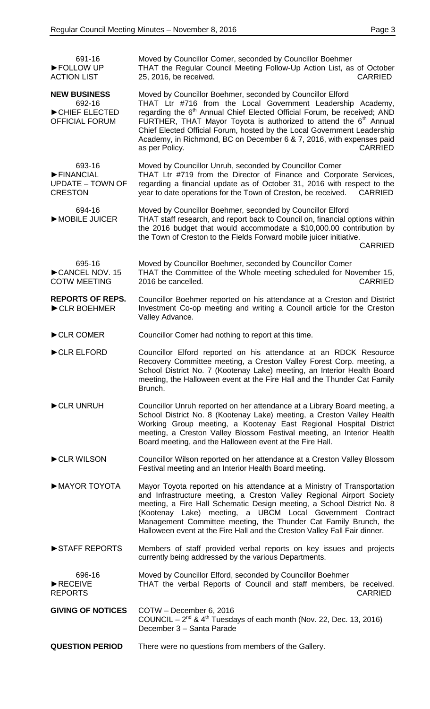| 691-16<br>FOLLOW UP<br><b>ACTION LIST</b>                               | Moved by Councillor Comer, seconded by Councillor Boehmer<br>THAT the Regular Council Meeting Follow-Up Action List, as of October<br>25, 2016, be received.<br><b>CARRIED</b>                                                                                                                                                                                                                                                                                                           |
|-------------------------------------------------------------------------|------------------------------------------------------------------------------------------------------------------------------------------------------------------------------------------------------------------------------------------------------------------------------------------------------------------------------------------------------------------------------------------------------------------------------------------------------------------------------------------|
| <b>NEW BUSINESS</b><br>692-16<br>CHIEF ELECTED<br><b>OFFICIAL FORUM</b> | Moved by Councillor Boehmer, seconded by Councillor Elford<br>THAT Ltr #716 from the Local Government Leadership Academy,<br>regarding the 6 <sup>th</sup> Annual Chief Elected Official Forum, be received; AND<br>FURTHER, THAT Mayor Toyota is authorized to attend the 6 <sup>th</sup> Annual<br>Chief Elected Official Forum, hosted by the Local Government Leadership<br>Academy, in Richmond, BC on December 6 & 7, 2016, with expenses paid<br>as per Policy.<br><b>CARRIED</b> |
| 693-16<br>FINANCIAL<br><b>UPDATE – TOWN OF</b><br><b>CRESTON</b>        | Moved by Councillor Unruh, seconded by Councillor Comer<br>THAT Ltr #719 from the Director of Finance and Corporate Services,<br>regarding a financial update as of October 31, 2016 with respect to the<br>year to date operations for the Town of Creston, be received.<br><b>CARRIED</b>                                                                                                                                                                                              |
| 694-16<br>MOBILE JUICER                                                 | Moved by Councillor Boehmer, seconded by Councillor Elford<br>THAT staff research, and report back to Council on, financial options within<br>the 2016 budget that would accommodate a \$10,000.00 contribution by<br>the Town of Creston to the Fields Forward mobile juicer initiative.<br><b>CARRIED</b>                                                                                                                                                                              |
| 695-16<br>CANCEL NOV. 15<br><b>COTW MEETING</b>                         | Moved by Councillor Boehmer, seconded by Councillor Comer<br>THAT the Committee of the Whole meeting scheduled for November 15,<br>2016 be cancelled.<br><b>CARRIED</b>                                                                                                                                                                                                                                                                                                                  |
| <b>REPORTS OF REPS.</b><br>CLR BOEHMER                                  | Councillor Boehmer reported on his attendance at a Creston and District<br>Investment Co-op meeting and writing a Council article for the Creston<br>Valley Advance.                                                                                                                                                                                                                                                                                                                     |
| CLR COMER                                                               | Councillor Comer had nothing to report at this time.                                                                                                                                                                                                                                                                                                                                                                                                                                     |
| CLR ELFORD                                                              | Councillor Elford reported on his attendance at an RDCK Resource<br>Recovery Committee meeting, a Creston Valley Forest Corp. meeting, a<br>School District No. 7 (Kootenay Lake) meeting, an Interior Health Board<br>meeting, the Halloween event at the Fire Hall and the Thunder Cat Family<br>Brunch.                                                                                                                                                                               |
| CLR UNRUH                                                               | Councillor Unruh reported on her attendance at a Library Board meeting, a<br>School District No. 8 (Kootenay Lake) meeting, a Creston Valley Health<br>Working Group meeting, a Kootenay East Regional Hospital District<br>meeting, a Creston Valley Blossom Festival meeting, an Interior Health<br>Board meeting, and the Halloween event at the Fire Hall.                                                                                                                           |
| CLR WILSON                                                              | Councillor Wilson reported on her attendance at a Creston Valley Blossom<br>Festival meeting and an Interior Health Board meeting.                                                                                                                                                                                                                                                                                                                                                       |
| MAYOR TOYOTA                                                            | Mayor Toyota reported on his attendance at a Ministry of Transportation<br>and Infrastructure meeting, a Creston Valley Regional Airport Society<br>meeting, a Fire Hall Schematic Design meeting, a School District No. 8<br>(Kootenay Lake) meeting, a UBCM Local Government Contract<br>Management Committee meeting, the Thunder Cat Family Brunch, the<br>Halloween event at the Fire Hall and the Creston Valley Fall Fair dinner.                                                 |
| STAFF REPORTS                                                           | Members of staff provided verbal reports on key issues and projects<br>currently being addressed by the various Departments.                                                                                                                                                                                                                                                                                                                                                             |
| 696-16<br>RECEIVE<br><b>REPORTS</b>                                     | Moved by Councillor Elford, seconded by Councillor Boehmer<br>THAT the verbal Reports of Council and staff members, be received.<br><b>CARRIED</b>                                                                                                                                                                                                                                                                                                                                       |
| <b>GIVING OF NOTICES</b>                                                | COTW - December 6, 2016<br>COUNCIL $-2^{nd}$ & 4 <sup>th</sup> Tuesdays of each month (Nov. 22, Dec. 13, 2016)<br>December 3 - Santa Parade                                                                                                                                                                                                                                                                                                                                              |
| <b>QUESTION PERIOD</b>                                                  | There were no questions from members of the Gallery.                                                                                                                                                                                                                                                                                                                                                                                                                                     |